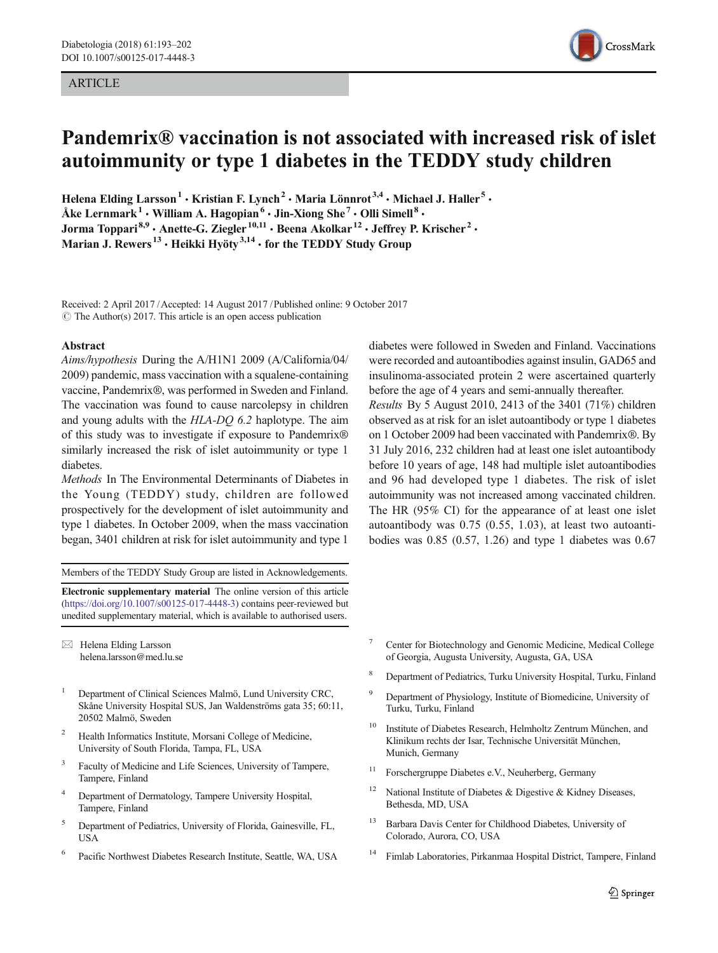#### ARTICLE



# Pandemrix® vaccination is not associated with increased risk of islet autoimmunity or type 1 diabetes in the TEDDY study children

Helena Elding Larsson<sup>1</sup> • Kristian F. Lynch<sup>2</sup> • Maria Lönnrot<sup>3,4</sup> • Michael J. Haller<sup>5</sup> • Åke Lernmark<sup>1</sup> • William A. Hagopian<sup>6</sup> • Jin-Xiong She<sup>7</sup> • Olli Simell<sup>8</sup> • Jorma Toppari<sup>8,9</sup> · Anette-G. Ziegler<sup>10,11</sup> · Beena Akolkar<sup>12</sup> · Jeffrey P. Krischer<sup>2</sup> · Marian J. Rewers<sup>13</sup> · Heikki Hyöty<sup>3,14</sup> · for the TEDDY Study Group

Received: 2 April 2017 /Accepted: 14 August 2017 / Published online: 9 October 2017  $\circ$  The Author(s) 2017. This article is an open access publication

#### Abstract

Aims/hypothesis During the A/H1N1 2009 (A/California/04/ 2009) pandemic, mass vaccination with a squalene-containing vaccine, Pandemrix®, was performed in Sweden and Finland. The vaccination was found to cause narcolepsy in children and young adults with the HLA-DQ 6.2 haplotype. The aim of this study was to investigate if exposure to Pandemrix® similarly increased the risk of islet autoimmunity or type 1 diabetes.

Methods In The Environmental Determinants of Diabetes in the Young (TEDDY) study, children are followed prospectively for the development of islet autoimmunity and type 1 diabetes. In October 2009, when the mass vaccination began, 3401 children at risk for islet autoimmunity and type 1

Members of the TEDDY Study Group are listed in Acknowledgements.

Electronic supplementary material The online version of this article (<https://doi.org/10.1007/s00125-017-4448-3>) contains peer-reviewed but unedited supplementary material, which is available to authorised users.

 $\boxtimes$  Helena Elding Larsson [helena.larsson@med.lu.se](mailto:helena.larsson@med.lu.se)

- <sup>1</sup> Department of Clinical Sciences Malmö, Lund University CRC, Skåne University Hospital SUS, Jan Waldenströms gata 35; 60:11, 20502 Malmö, Sweden
- Health Informatics Institute, Morsani College of Medicine, University of South Florida, Tampa, FL, USA
- <sup>3</sup> Faculty of Medicine and Life Sciences, University of Tampere, Tampere, Finland
- <sup>4</sup> Department of Dermatology, Tampere University Hospital, Tampere, Finland
- <sup>5</sup> Department of Pediatrics, University of Florida, Gainesville, FL, **USA**
- Pacific Northwest Diabetes Research Institute, Seattle, WA, USA

diabetes were followed in Sweden and Finland. Vaccinations were recorded and autoantibodies against insulin, GAD65 and insulinoma-associated protein 2 were ascertained quarterly before the age of 4 years and semi-annually thereafter. Results By 5 August 2010, 2413 of the 3401 (71%) children observed as at risk for an islet autoantibody or type 1 diabetes on 1 October 2009 had been vaccinated with Pandemrix®. By 31 July 2016, 232 children had at least one islet autoantibody before 10 years of age, 148 had multiple islet autoantibodies and 96 had developed type 1 diabetes. The risk of islet autoimmunity was not increased among vaccinated children. The HR (95% CI) for the appearance of at least one islet autoantibody was 0.75 (0.55, 1.03), at least two autoantibodies was 0.85 (0.57, 1.26) and type 1 diabetes was 0.67

- <sup>7</sup> Center for Biotechnology and Genomic Medicine, Medical College of Georgia, Augusta University, Augusta, GA, USA
- <sup>8</sup> Department of Pediatrics, Turku University Hospital, Turku, Finland
- <sup>9</sup> Department of Physiology, Institute of Biomedicine, University of Turku, Turku, Finland
- <sup>10</sup> Institute of Diabetes Research, Helmholtz Zentrum München, and Klinikum rechts der Isar, Technische Universität München, Munich, Germany
- <sup>11</sup> Forschergruppe Diabetes e.V., Neuherberg, Germany
- <sup>12</sup> National Institute of Diabetes & Digestive & Kidney Diseases, Bethesda, MD, USA
- <sup>13</sup> Barbara Davis Center for Childhood Diabetes, University of Colorado, Aurora, CO, USA
- <sup>14</sup> Fimlab Laboratories, Pirkanmaa Hospital District, Tampere, Finland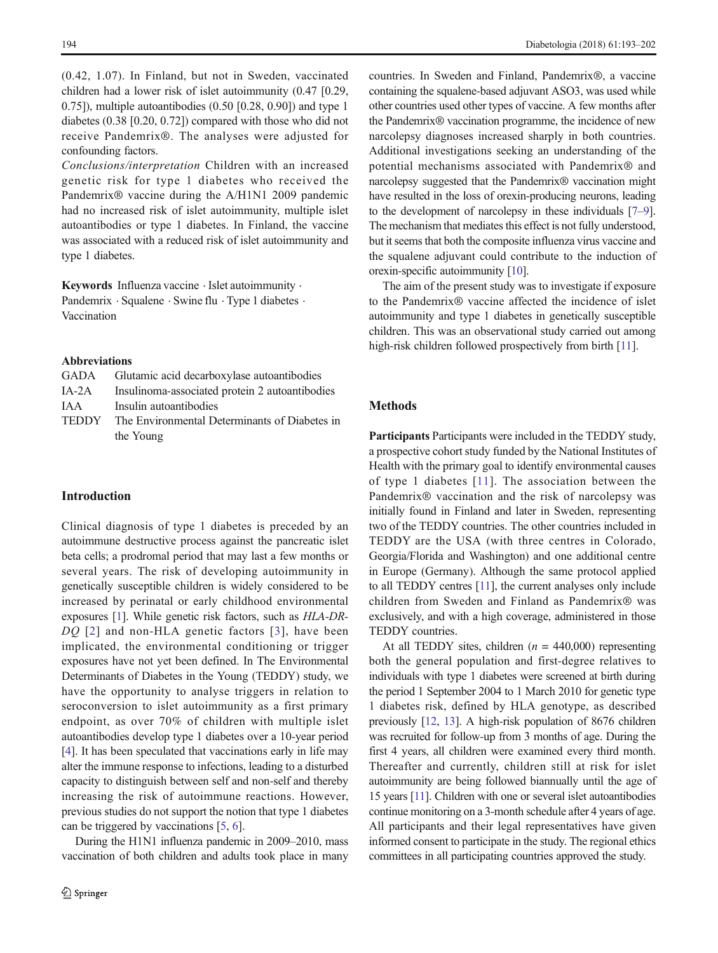(0.42, 1.07). In Finland, but not in Sweden, vaccinated children had a lower risk of islet autoimmunity (0.47 [0.29, 0.75]), multiple autoantibodies (0.50 [0.28, 0.90]) and type 1 diabetes (0.38 [0.20, 0.72]) compared with those who did not receive Pandemrix®. The analyses were adjusted for confounding factors.

Conclusions/interpretation Children with an increased genetic risk for type 1 diabetes who received the Pandemrix® vaccine during the A/H1N1 2009 pandemic had no increased risk of islet autoimmunity, multiple islet autoantibodies or type 1 diabetes. In Finland, the vaccine was associated with a reduced risk of islet autoimmunity and type 1 diabetes.

Keywords Influenza vaccine . Islet autoimmunity . Pandemrix · Squalene · Swine flu · Type 1 diabetes · Vaccination

#### Abbreviations

|         | GADA Glutamic acid decarboxylase autoantibodies     |
|---------|-----------------------------------------------------|
| $IA-2A$ | Insulinoma-associated protein 2 autoantibodies      |
| IAA     | Insulin autoantibodies                              |
|         | TEDDY The Environmental Determinants of Diabetes in |
|         | the Young                                           |

## Introduction

Clinical diagnosis of type 1 diabetes is preceded by an autoimmune destructive process against the pancreatic islet beta cells; a prodromal period that may last a few months or several years. The risk of developing autoimmunity in genetically susceptible children is widely considered to be increased by perinatal or early childhood environmental exposures [\[1](#page-9-0)]. While genetic risk factors, such as HLA-DR-DO [[2\]](#page-9-0) and non-HLA genetic factors [[3](#page-9-0)], have been implicated, the environmental conditioning or trigger exposures have not yet been defined. In The Environmental Determinants of Diabetes in the Young (TEDDY) study, we have the opportunity to analyse triggers in relation to seroconversion to islet autoimmunity as a first primary endpoint, as over 70% of children with multiple islet autoantibodies develop type 1 diabetes over a 10-year period [\[4](#page-9-0)]. It has been speculated that vaccinations early in life may alter the immune response to infections, leading to a disturbed capacity to distinguish between self and non-self and thereby increasing the risk of autoimmune reactions. However, previous studies do not support the notion that type 1 diabetes can be triggered by vaccinations [[5,](#page-9-0) [6\]](#page-9-0).

During the H1N1 influenza pandemic in 2009–2010, mass vaccination of both children and adults took place in many countries. In Sweden and Finland, Pandemrix®, a vaccine containing the squalene-based adjuvant ASO3, was used while other countries used other types of vaccine. A few months after the Pandemrix® vaccination programme, the incidence of new narcolepsy diagnoses increased sharply in both countries. Additional investigations seeking an understanding of the potential mechanisms associated with Pandemrix® and narcolepsy suggested that the Pandemrix® vaccination might have resulted in the loss of orexin-producing neurons, leading to the development of narcolepsy in these individuals [\[7](#page-9-0)–[9\]](#page-9-0). The mechanism that mediates this effect is not fully understood, but it seems that both the composite influenza virus vaccine and the squalene adjuvant could contribute to the induction of orexin-specific autoimmunity [\[10\]](#page-9-0).

The aim of the present study was to investigate if exposure to the Pandemrix® vaccine affected the incidence of islet autoimmunity and type 1 diabetes in genetically susceptible children. This was an observational study carried out among high-risk children followed prospectively from birth [[11](#page-9-0)].

# Methods

Participants Participants were included in the TEDDY study, a prospective cohort study funded by the National Institutes of Health with the primary goal to identify environmental causes of type 1 diabetes [[11](#page-9-0)]. The association between the Pandemrix® vaccination and the risk of narcolepsy was initially found in Finland and later in Sweden, representing two of the TEDDY countries. The other countries included in TEDDY are the USA (with three centres in Colorado, Georgia/Florida and Washington) and one additional centre in Europe (Germany). Although the same protocol applied to all TEDDY centres [[11](#page-9-0)], the current analyses only include children from Sweden and Finland as Pandemrix® was exclusively, and with a high coverage, administered in those TEDDY countries.

At all TEDDY sites, children ( $n = 440,000$ ) representing both the general population and first-degree relatives to individuals with type 1 diabetes were screened at birth during the period 1 September 2004 to 1 March 2010 for genetic type 1 diabetes risk, defined by HLA genotype, as described previously [[12](#page-9-0), [13\]](#page-9-0). A high-risk population of 8676 children was recruited for follow-up from 3 months of age. During the first 4 years, all children were examined every third month. Thereafter and currently, children still at risk for islet autoimmunity are being followed biannually until the age of 15 years [[11\]](#page-9-0). Children with one or several islet autoantibodies continue monitoring on a 3-month schedule after 4 years of age. All participants and their legal representatives have given informed consent to participate in the study. The regional ethics committees in all participating countries approved the study.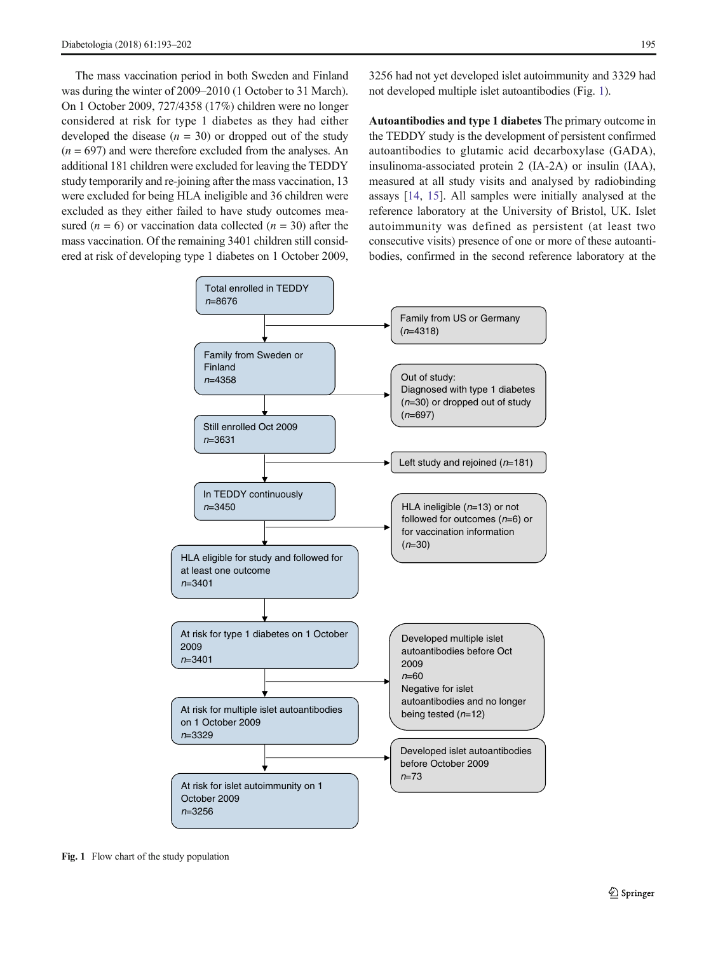The mass vaccination period in both Sweden and Finland was during the winter of 2009–2010 (1 October to 31 March). On 1 October 2009, 727/4358 (17%) children were no longer considered at risk for type 1 diabetes as they had either developed the disease  $(n = 30)$  or dropped out of the study  $(n = 697)$  and were therefore excluded from the analyses. An additional 181 children were excluded for leaving the TEDDY study temporarily and re-joining after the mass vaccination, 13 were excluded for being HLA ineligible and 36 children were excluded as they either failed to have study outcomes measured ( $n = 6$ ) or vaccination data collected ( $n = 30$ ) after the mass vaccination. Of the remaining 3401 children still considered at risk of developing type 1 diabetes on 1 October 2009,

3256 had not yet developed islet autoimmunity and 3329 had not developed multiple islet autoantibodies (Fig. 1).

Autoantibodies and type 1 diabetes The primary outcome in the TEDDY study is the development of persistent confirmed autoantibodies to glutamic acid decarboxylase (GADA), insulinoma-associated protein 2 (IA-2A) or insulin (IAA), measured at all study visits and analysed by radiobinding assays [\[14](#page-9-0), [15\]](#page-9-0). All samples were initially analysed at the reference laboratory at the University of Bristol, UK. Islet autoimmunity was defined as persistent (at least two consecutive visits) presence of one or more of these autoantibodies, confirmed in the second reference laboratory at the



Fig. 1 Flow chart of the study population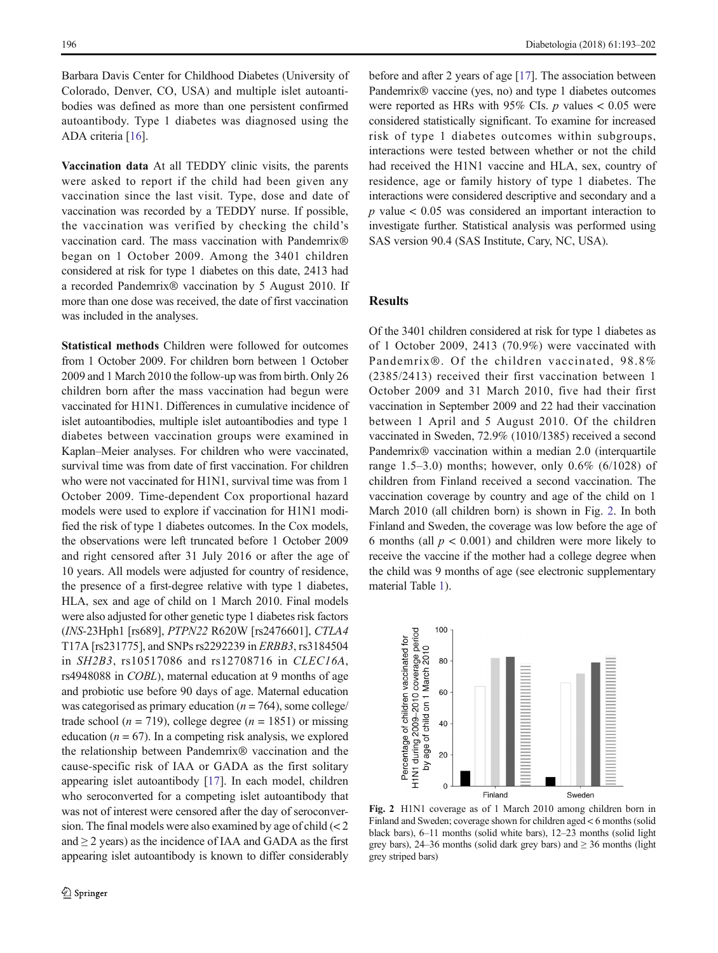Barbara Davis Center for Childhood Diabetes (University of Colorado, Denver, CO, USA) and multiple islet autoantibodies was defined as more than one persistent confirmed autoantibody. Type 1 diabetes was diagnosed using the ADA criteria [[16](#page-9-0)].

Vaccination data At all TEDDY clinic visits, the parents were asked to report if the child had been given any vaccination since the last visit. Type, dose and date of vaccination was recorded by a TEDDY nurse. If possible, the vaccination was verified by checking the child's vaccination card. The mass vaccination with Pandemrix® began on 1 October 2009. Among the 3401 children considered at risk for type 1 diabetes on this date, 2413 had a recorded Pandemrix® vaccination by 5 August 2010. If more than one dose was received, the date of first vaccination was included in the analyses.

Statistical methods Children were followed for outcomes from 1 October 2009. For children born between 1 October 2009 and 1 March 2010 the follow-up was from birth. Only 26 children born after the mass vaccination had begun were vaccinated for H1N1. Differences in cumulative incidence of islet autoantibodies, multiple islet autoantibodies and type 1 diabetes between vaccination groups were examined in Kaplan–Meier analyses. For children who were vaccinated, survival time was from date of first vaccination. For children who were not vaccinated for H1N1, survival time was from 1 October 2009. Time-dependent Cox proportional hazard models were used to explore if vaccination for H1N1 modified the risk of type 1 diabetes outcomes. In the Cox models, the observations were left truncated before 1 October 2009 and right censored after 31 July 2016 or after the age of 10 years. All models were adjusted for country of residence, the presence of a first-degree relative with type 1 diabetes, HLA, sex and age of child on 1 March 2010. Final models were also adjusted for other genetic type 1 diabetes risk factors (INS-23Hph1 [rs689], PTPN22 R620W [rs2476601], CTLA4 T17A [rs231775], and SNPs rs2292239 in ERBB3, rs3184504 in SH2B3, rs10517086 and rs12708716 in CLEC16A, rs4948088 in COBL), maternal education at 9 months of age and probiotic use before 90 days of age. Maternal education was categorised as primary education ( $n = 764$ ), some college/ trade school ( $n = 719$ ), college degree ( $n = 1851$ ) or missing education ( $n = 67$ ). In a competing risk analysis, we explored the relationship between Pandemrix® vaccination and the cause-specific risk of IAA or GADA as the first solitary appearing islet autoantibody [[17](#page-9-0)]. In each model, children who seroconverted for a competing islet autoantibody that was not of interest were censored after the day of seroconversion. The final models were also examined by age of child (< 2 and  $\geq$  2 years) as the incidence of IAA and GADA as the first appearing islet autoantibody is known to differ considerably

before and after 2 years of age [[17](#page-9-0)]. The association between Pandemrix® vaccine (yes, no) and type 1 diabetes outcomes were reported as HRs with 95% CIs.  $p$  values  $< 0.05$  were considered statistically significant. To examine for increased risk of type 1 diabetes outcomes within subgroups, interactions were tested between whether or not the child had received the H1N1 vaccine and HLA, sex, country of residence, age or family history of type 1 diabetes. The interactions were considered descriptive and secondary and a  $p$  value  $< 0.05$  was considered an important interaction to investigate further. Statistical analysis was performed using SAS version 90.4 (SAS Institute, Cary, NC, USA).

# **Results**

Of the 3401 children considered at risk for type 1 diabetes as of 1 October 2009, 2413 (70.9%) were vaccinated with Pandemrix®. Of the children vaccinated, 98.8% (2385/2413) received their first vaccination between 1 October 2009 and 31 March 2010, five had their first vaccination in September 2009 and 22 had their vaccination between 1 April and 5 August 2010. Of the children vaccinated in Sweden, 72.9% (1010/1385) received a second Pandemrix® vaccination within a median 2.0 (interquartile range 1.5–3.0) months; however, only  $0.6\%$  (6/1028) of children from Finland received a second vaccination. The vaccination coverage by country and age of the child on 1 March 2010 (all children born) is shown in Fig. 2. In both Finland and Sweden, the coverage was low before the age of 6 months (all  $p < 0.001$ ) and children were more likely to receive the vaccine if the mother had a college degree when the child was 9 months of age (see electronic supplementary material Table 1).



Fig. 2 H1N1 coverage as of 1 March 2010 among children born in Finland and Sweden; coverage shown for children aged < 6 months (solid black bars), 6–11 months (solid white bars), 12–23 months (solid light grey bars), 24–36 months (solid dark grey bars) and  $\geq$  36 months (light grey striped bars)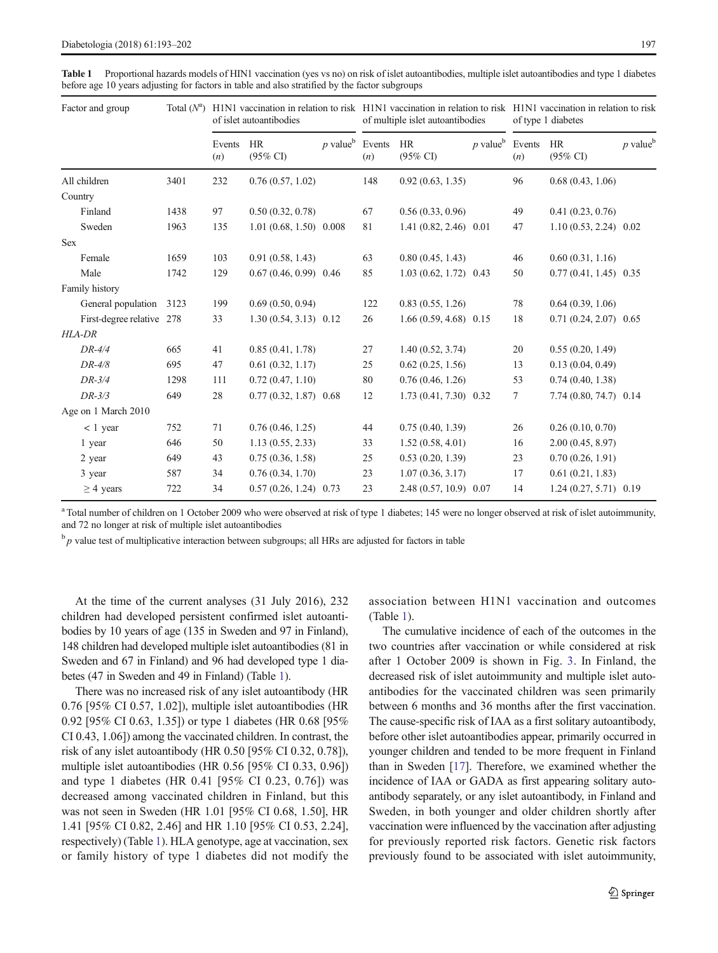| Factor and group          | Total $(N^a)$ | H1N1 vaccination in relation to risk H1N1 vaccination in relation to risk H1N1 vaccination in relation to risk<br>of islet autoantibodies |                           |                               | of multiple islet autoantibodies |                           |                        | of type 1 diabetes |                           |                        |
|---------------------------|---------------|-------------------------------------------------------------------------------------------------------------------------------------------|---------------------------|-------------------------------|----------------------------------|---------------------------|------------------------|--------------------|---------------------------|------------------------|
|                           |               | Events<br>(n)                                                                                                                             | HR<br>$(95\%$ CI          | $p$ value <sup>b</sup> Events | (n)                              | HR<br>$(95\% \text{ CI})$ | $p$ value <sup>b</sup> | Events<br>(n)      | HR<br>$(95\% \text{ CI})$ | $p$ value <sup>b</sup> |
| All children              | 3401          | 232                                                                                                                                       | 0.76(0.57, 1.02)          |                               | 148                              | 0.92(0.63, 1.35)          |                        | 96                 | 0.68(0.43, 1.06)          |                        |
| Country                   |               |                                                                                                                                           |                           |                               |                                  |                           |                        |                    |                           |                        |
| Finland                   | 1438          | 97                                                                                                                                        | 0.50(0.32, 0.78)          |                               | 67                               | 0.56(0.33, 0.96)          |                        | 49                 | 0.41(0.23, 0.76)          |                        |
| Sweden                    | 1963          | 135                                                                                                                                       | $1.01(0.68, 1.50)$ 0.008  |                               | 81                               | $1.41(0.82, 2.46)$ 0.01   |                        | 47                 | $1.10(0.53, 2.24)$ 0.02   |                        |
| <b>Sex</b>                |               |                                                                                                                                           |                           |                               |                                  |                           |                        |                    |                           |                        |
| Female                    | 1659          | 103                                                                                                                                       | 0.91(0.58, 1.43)          |                               | 63                               | 0.80(0.45, 1.43)          |                        | 46                 | 0.60(0.31, 1.16)          |                        |
| Male                      | 1742          | 129                                                                                                                                       | $0.67(0.46, 0.99)$ 0.46   |                               | 85                               | $1.03(0.62, 1.72)$ 0.43   |                        | 50                 | $0.77(0.41, 1.45)$ 0.35   |                        |
| Family history            |               |                                                                                                                                           |                           |                               |                                  |                           |                        |                    |                           |                        |
| General population        | 3123          | 199                                                                                                                                       | 0.69(0.50, 0.94)          |                               | 122                              | 0.83(0.55, 1.26)          |                        | 78                 | 0.64(0.39, 1.06)          |                        |
| First-degree relative 278 |               | 33                                                                                                                                        | $1.30(0.54, 3.13)$ $0.12$ |                               | 26                               | $1.66(0.59, 4.68)$ 0.15   |                        | 18                 | $0.71(0.24, 2.07)$ 0.65   |                        |
| <b>HLA-DR</b>             |               |                                                                                                                                           |                           |                               |                                  |                           |                        |                    |                           |                        |
| $DR-4/4$                  | 665           | 41                                                                                                                                        | 0.85(0.41, 1.78)          |                               | 27                               | 1.40(0.52, 3.74)          |                        | 20                 | 0.55(0.20, 1.49)          |                        |
| $DR-4/8$                  | 695           | 47                                                                                                                                        | 0.61(0.32, 1.17)          |                               | 25                               | 0.62(0.25, 1.56)          |                        | 13                 | 0.13(0.04, 0.49)          |                        |
| $DR-3/4$                  | 1298          | 111                                                                                                                                       | 0.72(0.47, 1.10)          |                               | 80                               | 0.76(0.46, 1.26)          |                        | 53                 | 0.74(0.40, 1.38)          |                        |
| $DR-3/3$                  | 649           | 28                                                                                                                                        | $0.77(0.32, 1.87)$ 0.68   |                               | 12                               | $1.73(0.41, 7.30)$ 0.32   |                        | $\tau$             | $7.74(0.80, 74.7)$ 0.14   |                        |
| Age on 1 March 2010       |               |                                                                                                                                           |                           |                               |                                  |                           |                        |                    |                           |                        |
| $< 1$ year                | 752           | 71                                                                                                                                        | 0.76(0.46, 1.25)          |                               | 44                               | 0.75(0.40, 1.39)          |                        | 26                 | 0.26(0.10, 0.70)          |                        |
| 1 year                    | 646           | 50                                                                                                                                        | 1.13(0.55, 2.33)          |                               | 33                               | 1.52(0.58, 4.01)          |                        | 16                 | 2.00(0.45, 8.97)          |                        |
| 2 year                    | 649           | 43                                                                                                                                        | 0.75(0.36, 1.58)          |                               | 25                               | 0.53(0.20, 1.39)          |                        | 23                 | 0.70(0.26, 1.91)          |                        |
| 3 year                    | 587           | 34                                                                                                                                        | 0.76(0.34, 1.70)          |                               | 23                               | 1.07(0.36, 3.17)          |                        | 17                 | 0.61(0.21, 1.83)          |                        |
| $\geq$ 4 years            | 722           | 34                                                                                                                                        | $0.57(0.26, 1.24)$ 0.73   |                               | 23                               | 2.48 (0.57, 10.9) 0.07    |                        | 14                 | $1.24(0.27, 5.71)$ 0.19   |                        |

Table 1 Proportional hazards models of HIN1 vaccination (yes vs no) on risk of islet autoantibodies, multiple islet autoantibodies and type 1 diabetes before age 10 years adjusting for factors in table and also stratified by the factor subgroups

<sup>a</sup> Total number of children on 1 October 2009 who were observed at risk of type 1 diabetes; 145 were no longer observed at risk of islet autoimmunity, and 72 no longer at risk of multiple islet autoantibodies

 $b<sub>p</sub>$  p value test of multiplicative interaction between subgroups; all HRs are adjusted for factors in table

At the time of the current analyses (31 July 2016), 232 children had developed persistent confirmed islet autoantibodies by 10 years of age (135 in Sweden and 97 in Finland), 148 children had developed multiple islet autoantibodies (81 in Sweden and 67 in Finland) and 96 had developed type 1 diabetes (47 in Sweden and 49 in Finland) (Table 1).

There was no increased risk of any islet autoantibody (HR 0.76 [95% CI 0.57, 1.02]), multiple islet autoantibodies (HR 0.92 [95% CI 0.63, 1.35]) or type 1 diabetes (HR 0.68 [95% CI 0.43, 1.06]) among the vaccinated children. In contrast, the risk of any islet autoantibody (HR 0.50 [95% CI 0.32, 0.78]), multiple islet autoantibodies (HR 0.56 [95% CI 0.33, 0.96]) and type 1 diabetes (HR 0.41 [95% CI 0.23, 0.76]) was decreased among vaccinated children in Finland, but this was not seen in Sweden (HR 1.01 [95% CI 0.68, 1.50], HR 1.41 [95% CI 0.82, 2.46] and HR 1.10 [95% CI 0.53, 2.24], respectively) (Table 1). HLA genotype, age at vaccination, sex or family history of type 1 diabetes did not modify the association between H1N1 vaccination and outcomes (Table 1).

The cumulative incidence of each of the outcomes in the two countries after vaccination or while considered at risk after 1 October 2009 is shown in Fig. [3.](#page-5-0) In Finland, the decreased risk of islet autoimmunity and multiple islet autoantibodies for the vaccinated children was seen primarily between 6 months and 36 months after the first vaccination. The cause-specific risk of IAA as a first solitary autoantibody, before other islet autoantibodies appear, primarily occurred in younger children and tended to be more frequent in Finland than in Sweden [\[17](#page-9-0)]. Therefore, we examined whether the incidence of IAA or GADA as first appearing solitary autoantibody separately, or any islet autoantibody, in Finland and Sweden, in both younger and older children shortly after vaccination were influenced by the vaccination after adjusting for previously reported risk factors. Genetic risk factors previously found to be associated with islet autoimmunity,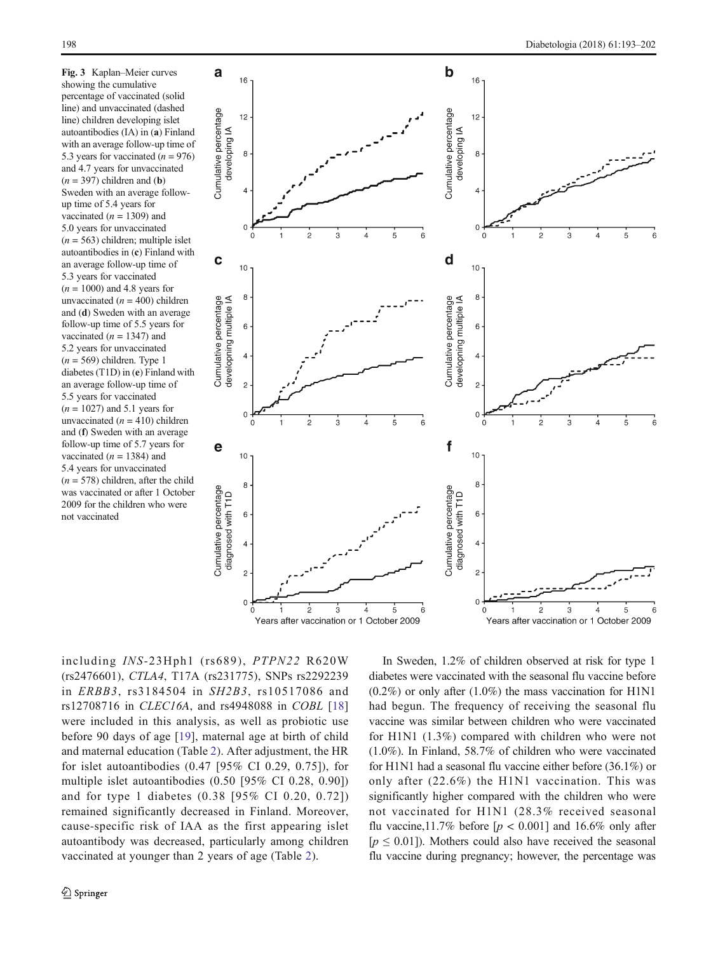<span id="page-5-0"></span>Fig. 3 Kaplan–Meier curves showing the cumulative percentage of vaccinated (solid line) and unvaccinated (dashed line) children developing islet autoantibodies (IA) in (a) Finland with an average follow-up time of 5.3 years for vaccinated  $(n = 976)$ and 4.7 years for unvaccinated  $(n = 397)$  children and (b) Sweden with an average followup time of 5.4 years for vaccinated ( $n = 1309$ ) and 5.0 years for unvaccinated  $(n = 563)$  children; multiple islet autoantibodies in (c) Finland with an average follow-up time of 5.3 years for vaccinated  $(n = 1000)$  and 4.8 years for unvaccinated ( $n = 400$ ) children and (d) Sweden with an average follow-up time of 5.5 years for vaccinated ( $n = 1347$ ) and 5.2 years for unvaccinated  $(n = 569)$  children. Type 1 diabetes (T1D) in (e) Finland with an average follow-up time of 5.5 years for vaccinated  $(n = 1027)$  and 5.1 years for unvaccinated ( $n = 410$ ) children and (f) Sweden with an average follow-up time of 5.7 years for vaccinated ( $n = 1384$ ) and 5.4 years for unvaccinated  $(n = 578)$  children, after the child was vaccinated or after 1 October 2009 for the children who were not vaccinated



including INS-23Hph1 (rs689), PTPN22 R620W (rs2476601), CTLA4, T17A (rs231775), SNPs rs2292239 in ERBB3, rs3184504 in SH2B3, rs10517086 and rs12708716 in CLEC16A, and rs4948088 in COBL [[18\]](#page-9-0) were included in this analysis, as well as probiotic use before 90 days of age [\[19\]](#page-9-0), maternal age at birth of child and maternal education (Table [2\)](#page-6-0). After adjustment, the HR for islet autoantibodies (0.47 [95% CI 0.29, 0.75]), for multiple islet autoantibodies (0.50 [95% CI 0.28, 0.90]) and for type 1 diabetes (0.38 [95% CI 0.20, 0.72]) remained significantly decreased in Finland. Moreover, cause-specific risk of IAA as the first appearing islet autoantibody was decreased, particularly among children vaccinated at younger than 2 years of age (Table [2\)](#page-6-0).

In Sweden, 1.2% of children observed at risk for type 1 diabetes were vaccinated with the seasonal flu vaccine before  $(0.2\%)$  or only after  $(1.0\%)$  the mass vaccination for H1N1 had begun. The frequency of receiving the seasonal flu vaccine was similar between children who were vaccinated for H1N1 (1.3%) compared with children who were not (1.0%). In Finland, 58.7% of children who were vaccinated for H1N1 had a seasonal flu vaccine either before (36.1%) or only after (22.6%) the H1N1 vaccination. This was significantly higher compared with the children who were not vaccinated for H1N1 (28.3% received seasonal flu vaccine,11.7% before  $[p < 0.001]$  and 16.6% only after  $[p \le 0.01]$ ). Mothers could also have received the seasonal flu vaccine during pregnancy; however, the percentage was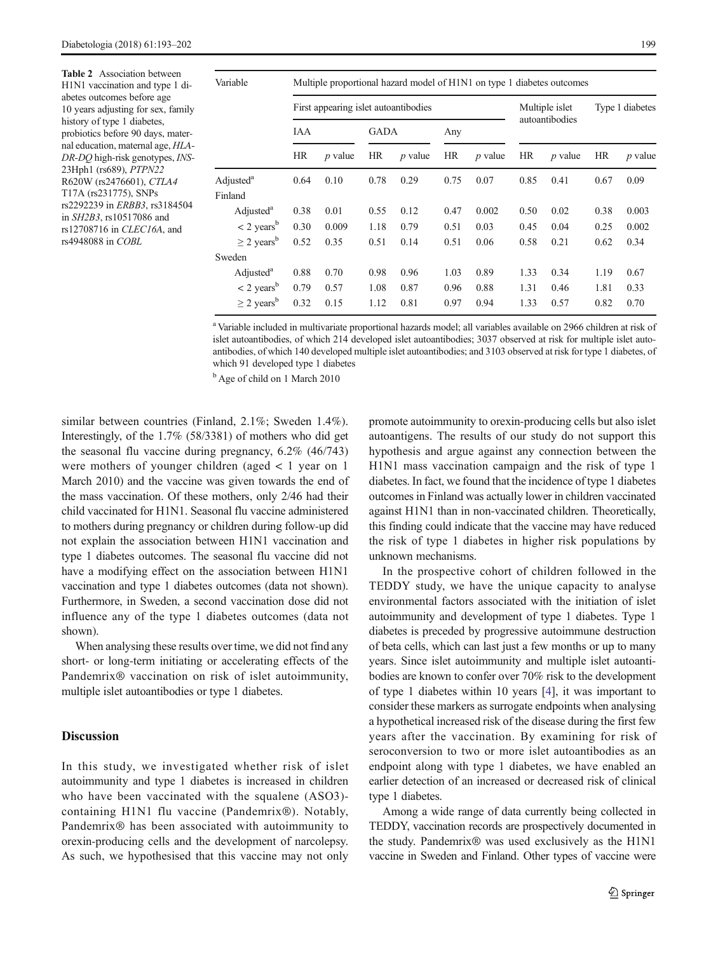<span id="page-6-0"></span>Table 2 Association between H1N1 vaccination and type 1 diabetes outcomes before age 10 years adjusting for sex, family history of type 1 diabetes, probiotics before 90 days, maternal education, maternal age, HLA-DR-DQ high-risk genotypes, INS-23Hph1 (rs689), PTPN22 R620W (rs2476601), CTLA4 T17A (rs231775), SNPs rs2292239 in ERBB3, rs3184504 in SH2B3, rs10517086 and rs12708716 in CLEC16A, and rs4948088 in COBL

| Variable                    | Multiple proportional hazard model of H1N1 on type 1 diabetes outcomes |           |             |           |           |           |                |           |                 |           |  |
|-----------------------------|------------------------------------------------------------------------|-----------|-------------|-----------|-----------|-----------|----------------|-----------|-----------------|-----------|--|
|                             | First appearing islet autoantibodies                                   |           |             |           |           |           | Multiple islet |           | Type 1 diabetes |           |  |
|                             | IAA                                                                    |           | <b>GADA</b> |           | Any       |           | autoantibodies |           |                 |           |  |
|                             | HR                                                                     | $p$ value | HR          | $p$ value | <b>HR</b> | $p$ value | <b>HR</b>      | $p$ value | HR              | $p$ value |  |
| Adjusted <sup>a</sup>       | 0.64                                                                   | 0.10      | 0.78        | 0.29      | 0.75      | 0.07      | 0.85           | 0.41      | 0.67            | 0.09      |  |
| Finland                     |                                                                        |           |             |           |           |           |                |           |                 |           |  |
| Adjusted <sup>a</sup>       | 0.38                                                                   | 0.01      | 0.55        | 0.12      | 0.47      | 0.002     | 0.50           | 0.02      | 0.38            | 0.003     |  |
| $<$ 2 years <sup>b</sup>    | 0.30                                                                   | 0.009     | 1.18        | 0.79      | 0.51      | 0.03      | 0.45           | 0.04      | 0.25            | 0.002     |  |
| $\geq$ 2 years <sup>b</sup> | 0.52                                                                   | 0.35      | 0.51        | 0.14      | 0.51      | 0.06      | 0.58           | 0.21      | 0.62            | 0.34      |  |
| Sweden                      |                                                                        |           |             |           |           |           |                |           |                 |           |  |
| Adjusted <sup>a</sup>       | 0.88                                                                   | 0.70      | 0.98        | 0.96      | 1.03      | 0.89      | 1.33           | 0.34      | 1.19            | 0.67      |  |
| $<$ 2 years <sup>b</sup>    | 0.79                                                                   | 0.57      | 1.08        | 0.87      | 0.96      | 0.88      | 1.31           | 0.46      | 1.81            | 0.33      |  |
| $\geq$ 2 years <sup>b</sup> | 0.32                                                                   | 0.15      | 1.12        | 0.81      | 0.97      | 0.94      | 1.33           | 0.57      | 0.82            | 0.70      |  |

<sup>a</sup> Variable included in multivariate proportional hazards model; all variables available on 2966 children at risk of islet autoantibodies, of which 214 developed islet autoantibodies; 3037 observed at risk for multiple islet autoantibodies, of which 140 developed multiple islet autoantibodies; and 3103 observed at risk for type 1 diabetes, of which 91 developed type 1 diabetes

<sup>b</sup> Age of child on 1 March 2010

similar between countries (Finland, 2.1%; Sweden 1.4%). Interestingly, of the 1.7% (58/3381) of mothers who did get the seasonal flu vaccine during pregnancy, 6.2% (46/743) were mothers of younger children (aged < 1 year on 1 March 2010) and the vaccine was given towards the end of the mass vaccination. Of these mothers, only 2/46 had their child vaccinated for H1N1. Seasonal flu vaccine administered to mothers during pregnancy or children during follow-up did not explain the association between H1N1 vaccination and type 1 diabetes outcomes. The seasonal flu vaccine did not have a modifying effect on the association between H1N1 vaccination and type 1 diabetes outcomes (data not shown). Furthermore, in Sweden, a second vaccination dose did not influence any of the type 1 diabetes outcomes (data not shown).

When analysing these results over time, we did not find any short- or long-term initiating or accelerating effects of the Pandemrix® vaccination on risk of islet autoimmunity, multiple islet autoantibodies or type 1 diabetes.

## Discussion

In this study, we investigated whether risk of islet autoimmunity and type 1 diabetes is increased in children who have been vaccinated with the squalene (ASO3)containing H1N1 flu vaccine (Pandemrix®). Notably, Pandemrix® has been associated with autoimmunity to orexin-producing cells and the development of narcolepsy. As such, we hypothesised that this vaccine may not only promote autoimmunity to orexin-producing cells but also islet autoantigens. The results of our study do not support this hypothesis and argue against any connection between the H1N1 mass vaccination campaign and the risk of type 1 diabetes. In fact, we found that the incidence of type 1 diabetes outcomes in Finland was actually lower in children vaccinated against H1N1 than in non-vaccinated children. Theoretically, this finding could indicate that the vaccine may have reduced the risk of type 1 diabetes in higher risk populations by unknown mechanisms.

In the prospective cohort of children followed in the TEDDY study, we have the unique capacity to analyse environmental factors associated with the initiation of islet autoimmunity and development of type 1 diabetes. Type 1 diabetes is preceded by progressive autoimmune destruction of beta cells, which can last just a few months or up to many years. Since islet autoimmunity and multiple islet autoantibodies are known to confer over 70% risk to the development of type 1 diabetes within 10 years [[4\]](#page-9-0), it was important to consider these markers as surrogate endpoints when analysing a hypothetical increased risk of the disease during the first few years after the vaccination. By examining for risk of seroconversion to two or more islet autoantibodies as an endpoint along with type 1 diabetes, we have enabled an earlier detection of an increased or decreased risk of clinical type 1 diabetes.

Among a wide range of data currently being collected in TEDDY, vaccination records are prospectively documented in the study. Pandemrix® was used exclusively as the H1N1 vaccine in Sweden and Finland. Other types of vaccine were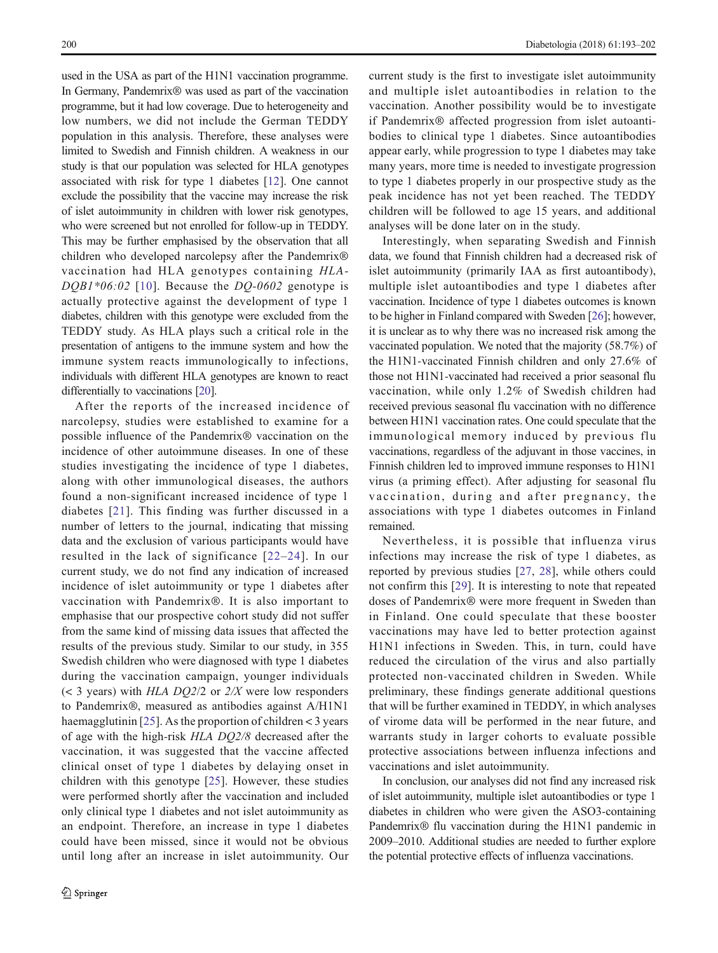used in the USA as part of the H1N1 vaccination programme. In Germany, Pandemrix® was used as part of the vaccination programme, but it had low coverage. Due to heterogeneity and low numbers, we did not include the German TEDDY population in this analysis. Therefore, these analyses were limited to Swedish and Finnish children. A weakness in our study is that our population was selected for HLA genotypes associated with risk for type 1 diabetes [[12](#page-9-0)]. One cannot exclude the possibility that the vaccine may increase the risk of islet autoimmunity in children with lower risk genotypes, who were screened but not enrolled for follow-up in TEDDY. This may be further emphasised by the observation that all children who developed narcolepsy after the Pandemrix® vaccination had HLA genotypes containing HLA- $DQBI*06:02$  [[10\]](#page-9-0). Because the  $DQ-0602$  genotype is actually protective against the development of type 1 diabetes, children with this genotype were excluded from the TEDDY study. As HLA plays such a critical role in the presentation of antigens to the immune system and how the immune system reacts immunologically to infections, individuals with different HLA genotypes are known to react differentially to vaccinations [\[20\]](#page-9-0).

After the reports of the increased incidence of narcolepsy, studies were established to examine for a possible influence of the Pandemrix® vaccination on the incidence of other autoimmune diseases. In one of these studies investigating the incidence of type 1 diabetes, along with other immunological diseases, the authors found a non-significant increased incidence of type 1 diabetes [[21](#page-9-0)]. This finding was further discussed in a number of letters to the journal, indicating that missing data and the exclusion of various participants would have resulted in the lack of significance [[22](#page-9-0)–[24\]](#page-9-0). In our current study, we do not find any indication of increased incidence of islet autoimmunity or type 1 diabetes after vaccination with Pandemrix®. It is also important to emphasise that our prospective cohort study did not suffer from the same kind of missing data issues that affected the results of the previous study. Similar to our study, in 355 Swedish children who were diagnosed with type 1 diabetes during the vaccination campaign, younger individuals  $(<$  3 years) with HLA DQ2/2 or 2/X were low responders to Pandemrix®, measured as antibodies against A/H1N1 haemagglutinin [[25](#page-9-0)]. As the proportion of children < 3 years of age with the high-risk HLA DQ2/8 decreased after the vaccination, it was suggested that the vaccine affected clinical onset of type 1 diabetes by delaying onset in children with this genotype [[25](#page-9-0)]. However, these studies were performed shortly after the vaccination and included only clinical type 1 diabetes and not islet autoimmunity as an endpoint. Therefore, an increase in type 1 diabetes could have been missed, since it would not be obvious until long after an increase in islet autoimmunity. Our

current study is the first to investigate islet autoimmunity and multiple islet autoantibodies in relation to the vaccination. Another possibility would be to investigate if Pandemrix® affected progression from islet autoantibodies to clinical type 1 diabetes. Since autoantibodies appear early, while progression to type 1 diabetes may take many years, more time is needed to investigate progression to type 1 diabetes properly in our prospective study as the peak incidence has not yet been reached. The TEDDY children will be followed to age 15 years, and additional analyses will be done later on in the study.

Interestingly, when separating Swedish and Finnish data, we found that Finnish children had a decreased risk of islet autoimmunity (primarily IAA as first autoantibody), multiple islet autoantibodies and type 1 diabetes after vaccination. Incidence of type 1 diabetes outcomes is known to be higher in Finland compared with Sweden [\[26\]](#page-9-0); however, it is unclear as to why there was no increased risk among the vaccinated population. We noted that the majority (58.7%) of the H1N1-vaccinated Finnish children and only 27.6% of those not H1N1-vaccinated had received a prior seasonal flu vaccination, while only 1.2% of Swedish children had received previous seasonal flu vaccination with no difference between H1N1 vaccination rates. One could speculate that the immunological memory induced by previous flu vaccinations, regardless of the adjuvant in those vaccines, in Finnish children led to improved immune responses to H1N1 virus (a priming effect). After adjusting for seasonal flu vaccination, during and after pregnancy, the associations with type 1 diabetes outcomes in Finland remained.

Nevertheless, it is possible that influenza virus infections may increase the risk of type 1 diabetes, as reported by previous studies [\[27](#page-9-0), [28\]](#page-9-0), while others could not confirm this [[29\]](#page-9-0). It is interesting to note that repeated doses of Pandemrix® were more frequent in Sweden than in Finland. One could speculate that these booster vaccinations may have led to better protection against H1N1 infections in Sweden. This, in turn, could have reduced the circulation of the virus and also partially protected non-vaccinated children in Sweden. While preliminary, these findings generate additional questions that will be further examined in TEDDY, in which analyses of virome data will be performed in the near future, and warrants study in larger cohorts to evaluate possible protective associations between influenza infections and vaccinations and islet autoimmunity.

In conclusion, our analyses did not find any increased risk of islet autoimmunity, multiple islet autoantibodies or type 1 diabetes in children who were given the ASO3-containing Pandemrix® flu vaccination during the H1N1 pandemic in 2009–2010. Additional studies are needed to further explore the potential protective effects of influenza vaccinations.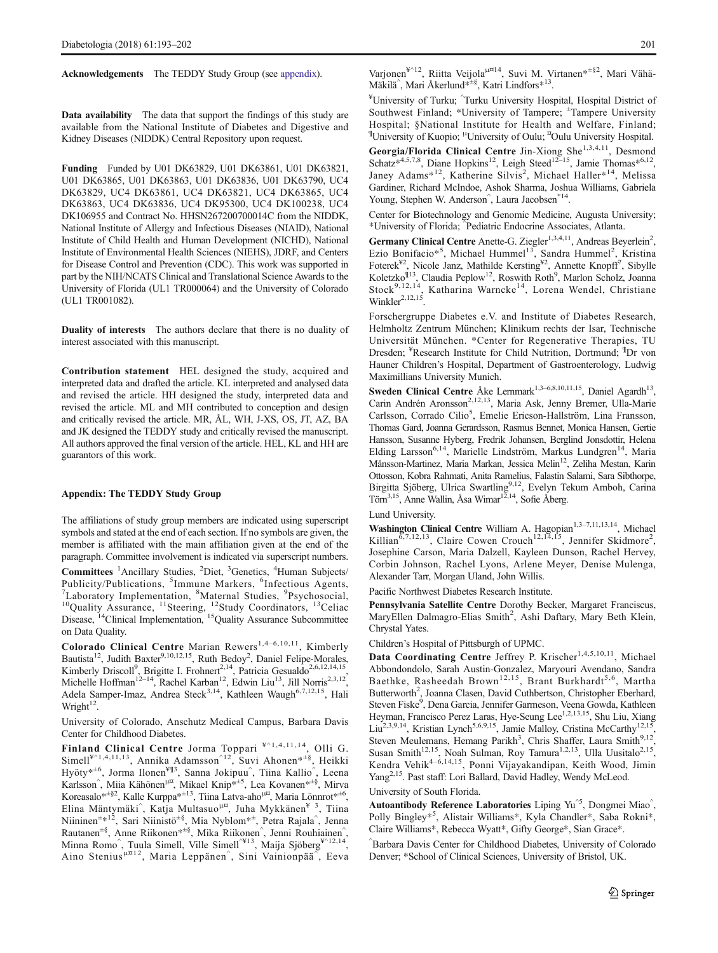Acknowledgements The TEDDY Study Group (see appendix).

Data availability The data that support the findings of this study are available from the National Institute of Diabetes and Digestive and Kidney Diseases (NIDDK) Central Repository upon request.

Funding Funded by U01 DK63829, U01 DK63861, U01 DK63821, U01 DK63865, U01 DK63863, U01 DK63836, U01 DK63790, UC4 DK63829, UC4 DK63861, UC4 DK63821, UC4 DK63865, UC4 DK63863, UC4 DK63836, UC4 DK95300, UC4 DK100238, UC4 DK106955 and Contract No. HHSN267200700014C from the NIDDK, National Institute of Allergy and Infectious Diseases (NIAID), National Institute of Child Health and Human Development (NICHD), National Institute of Environmental Health Sciences (NIEHS), JDRF, and Centers for Disease Control and Prevention (CDC). This work was supported in part by the NIH/NCATS Clinical and Translational Science Awards to the University of Florida (UL1 TR000064) and the University of Colorado (UL1 TR001082).

Duality of interests The authors declare that there is no duality of interest associated with this manuscript.

Contribution statement HEL designed the study, acquired and interpreted data and drafted the article. KL interpreted and analysed data and revised the article. HH designed the study, interpreted data and revised the article. ML and MH contributed to conception and design and critically revised the article. MR, ÅL, WH, J-XS, OS, JT, AZ, BA and JK designed the TEDDY study and critically revised the manuscript. All authors approved the final version of the article. HEL, KL and HH are guarantors of this work.

#### Appendix: The TEDDY Study Group

The affiliations of study group members are indicated using superscript symbols and stated at the end of each section. If no symbols are given, the member is affiliated with the main affiliation given at the end of the paragraph. Committee involvement is indicated via superscript numbers.

Committees <sup>1</sup>Ancillary Studies, <sup>2</sup>Diet, <sup>3</sup>Genetics, <sup>4</sup>Human Subjects/ Publicity/Publications,  ${}^{5}$ Immune Markers,  ${}^{6}$ Infectious Agents,  ${}^{7}$ I aboratory Implementation  ${}^{8}$ Maternal Studies  ${}^{9}$ Psychosocial Laboratory Implementation, <sup>8</sup>Maternal Studies, <sup>9</sup> Taboratory Implementation,  ${}^{8}$ Maternal Studies,  ${}^{9}$ Psychosocial,  ${}^{10}$ Quality Assurance,  ${}^{11}$ Steering,  ${}^{12}$ Study Coordinators,  ${}^{13}$ Celiac Disease, <sup>14</sup>Clinical Implementation, <sup>15</sup>Quality Assurance Subcommittee on Data Quality.

Colorado Clinical Centre Marian Rewers<sup>1,4-6,10,11</sup>, Kimberly Bautista<sup>12</sup>, Judith Baxter<sup>9,10,12,15</sup>, Ruth Bedoy<sup>2</sup>, Daniel Felipe-Morales, Kimberly Driscoll<sup>9</sup>, Brigitte I. Frohnert<sup>2,14</sup>, Patricia Gesualdo<sup>2,6,12,14,15</sup>, Michelle Hoffman<sup>12–14</sup>, Rachel Karban<sup>12</sup>, Edwin Liu<sup>13</sup>, Jill Norris<sup>2,3,12</sup>, Adela Samper-Imaz, Andrea Steck<sup>3,14</sup>, Kathleen Waugh<sup>6,7,12,15</sup>, Hali Wright $12$ .

University of Colorado, Anschutz Medical Campus, Barbara Davis Center for Childhood Diabetes.

Finland Clinical Centre Jorma Toppari \*^1,4,11,14, Olli G. Simell<sup>¥^1,4,11,13</sup>, Annika Adamsson<sup>^12</sup>, Suvi Ahonen\*<sup>±§</sup>, Heikki Hyöty\*<sup>±6</sup>, Jorma Ilonen<sup>¥¶3</sup>, Sanna Jokipuu<sup>^</sup>, Tiina Kallio<sup>^</sup>, Leena Karlsson<sup>^</sup>, Miia Kähönen<sup>u¤</sup>, Mikael Knip<sup>\*±5</sup>, Lea Kovanen<sup>\*±§</sup>, Mirva Koreasalo\*<sup>±§2</sup>, Kalle Kurppa<sup>\*±13</sup>, Tiina Latva-aho<sup>µ¤</sup>, Maria Lönnrot\*<sup>±6</sup>, Elina Mäntymäki<sup>^</sup>, Katja Multasuo<sup>µ¤</sup>, Juha Mykkänen<sup>¥ 3</sup>, Tiina Niininen<sup>±\*12</sup>, Sari Niinistö<sup>±§</sup>, Mia Nyblom<sup>\*±</sup>, Petra Rajala^, Jenna Rautanen<sup>±§</sup>, Anne Riikonen<sup>\*±§</sup>, Mika Riikonen<sup>^</sup>, Jenni Rouhiainen<sup>^</sup>,<br>Minna Romo<sup>^</sup>, Tuula Simell, Ville Simell<sup>^¥13</sup>, Maija Sjöberg<sup>¥^12,14</sup>, Aino Stenius<sup>µ¤12</sup>, Maria Leppänen<sup>^</sup>, Sini Vainionpää<sup>^</sup>, Eeva

Varjonen<sup>¥^12</sup>, Riitta Veijola<sup>µ¤14</sup>, Suvi M. Virtanen\*<sup>+§2</sup>, Mari Vähä-Mäkilä<sup>^</sup>, Mari Åkerlund<sup>\*±§</sup>, Katri Lindfors<sup>\*13</sup>.

¥ University of Turku; ^ Turku University Hospital, Hospital District of Southwest Finland; \*University of Tampere; <sup>±</sup>Tampere University Hospital; §National Institute for Health and Welfare, Finland; <sup>¶</sup>University of Kuopio; <sup>µ</sup>University of Oulu; <sup>¤</sup>Oulu University Hospital.

Georgia/Florida Clinical Centre Jin-Xiong She<sup>1,3,4,11</sup>, Desmond Schatz\*4,5,7,8, Diane Hopkins<sup>12</sup>, Leigh Steed<sup>12–15</sup>, Jamie Thomas\*<sup>6,12</sup>, Janey Adams\*<sup>12</sup>, Katherine Silvis<sup>2</sup>, Michael Haller\*<sup>14</sup>, Melissa Gardiner, Richard McIndoe, Ashok Sharma, Joshua Williams, Gabriela Young, Stephen W. Anderson<sup>^</sup>, Laura Jacobsen<sup>\*14</sup>.

Center for Biotechnology and Genomic Medicine, Augusta University; \*University of Florida; ^ Pediatric Endocrine Associates, Atlanta.

Germany Clinical Centre Anette-G. Ziegler<sup>1,3,4,11</sup>, Andreas Beyerlein<sup>2</sup>, Ezio Bonifacio\*<sup>5</sup>, Michael Hummel<sup>13</sup>, Sandra Hummel<sup>2</sup>, Kristina<br>Foterek<sup>¥2</sup>, Nicole Janz, Mathilde Kersting<sup>¥2</sup>, Annette Knopff<sup>7</sup>, Sibylle Koletzko<sup>¶13</sup>, Claudia Peplow<sup>12</sup>, Roswith Roth<sup>9</sup>, Marlon Scholz, Joanna Stock<sup>9,12,14</sup>, Katharina Warncke<sup>14</sup>, Lorena Wendel, Christiane Winkler<sup>2,12,15</sup>.

Forschergruppe Diabetes e.V. and Institute of Diabetes Research, Helmholtz Zentrum München; Klinikum rechts der Isar, Technische Universität München. \*Center for Regenerative Therapies, TU Dresden; ¥ Research Institute for Child Nutrition, Dortmund; ¶ Dr von Hauner Children's Hospital, Department of Gastroenterology, Ludwig Maximillians University Munich.

Sweden Clinical Centre Åke Lernmark<sup>1,3–6,8,10,11,15</sup>, Daniel Agardh<sup>13</sup>, Carin Andrén Aronsson<sup>2,12,13</sup>, Maria Ask, Jenny Bremer, Ulla-Marie Carlsson, Corrado Cilio<sup>5</sup>, Emelie Ericson-Hallström, Lina Fransson, Thomas Gard, Joanna Gerardsson, Rasmus Bennet, Monica Hansen, Gertie Hansson, Susanne Hyberg, Fredrik Johansen, Berglind Jonsdottir, Helena Elding Larsson<sup>6,14</sup>, Marielle Lindström, Markus Lundgren<sup>14</sup>, Maria Månsson-Martinez, Maria Markan, Jessica Melin<sup>12</sup>, Zeliha Mestan, Karin Ottosson, Kobra Rahmati, Anita Ramelius, Falastin Salami, Sara Sibthorpe, Birgitta Sjöberg, Ulrica Swartling<sup>9,12</sup>, Evelyn Tekum Amboh, Carina Törn<sup>3,15</sup>, Anne Wallin, Åsa Wimar<sup>12,14</sup>, Sofie Åberg.

#### Lund University.

Washington Clinical Centre William A. Hagopian<sup>1,3-7,11,13,14</sup>, Michael Killian<sup>6,7,12,13</sup>, Claire Cowen Crouch<sup>12,14,15</sup>, Jennifer Skidmore<sup>2</sup>, Josephine Carson, Maria Dalzell, Kayleen Dunson, Rachel Hervey, Corbin Johnson, Rachel Lyons, Arlene Meyer, Denise Mulenga, Alexander Tarr, Morgan Uland, John Willis.

Pacific Northwest Diabetes Research Institute.

Pennsylvania Satellite Centre Dorothy Becker, Margaret Franciscus, MaryEllen Dalmagro-Elias Smith<sup>2</sup>, Ashi Daftary, Mary Beth Klein, Chrystal Yates.

Children's Hospital of Pittsburgh of UPMC.

Data Coordinating Centre Jeffrey P. Krischer<sup>1,4,5,10,11</sup>, Michael Abbondondolo, Sarah Austin-Gonzalez, Maryouri Avendano, Sandra Baethke, Rasheedah Brown<sup>12,15</sup>, Brant Burkhardt<sup>5,6</sup>, Martha Butterworth<sup>2</sup>, Joanna Clasen, David Cuthbertson, Christopher Eberhard, Steven Fiske<sup>9</sup>, Dena Garcia, Jennifer Garmeson, Veena Gowda, Kathleen Heyman, Francisco Perez Laras, Hye-Seung Lee<sup>1,2,13,15</sup>, Shu Liu, Xiang Liu<sup>2,3,9,14</sup>, Kristian Lynch<sup>5,6,9,15</sup>, Jamie Malloy, Cristina McCarthy<sup>12,15</sup>, Steven Meulemans, Hemang Parikh<sup>3</sup>, Chris Shaffer, Laura Smith<sup>9,12</sup>, Susan Smith<sup>12,15</sup>, Noah Sulman, Roy Tamura<sup>1,2,13</sup>, Ulla Uusitalo<sup>2,15</sup>, Kendra Vehik<sup>4–6,14,15</sup>, Ponni Vijayakandipan, Keith Wood, Jimin Yang<sup>2,15</sup>. Past staff: Lori Ballard, David Hadley, Wendy McLeod.

## University of South Florida.

Autoantibody Reference Laboratories Liping Yu<sup>^5</sup>, Dongmei Miao<sup>^</sup>, Polly Bingley\*<sup>5</sup> , Alistair Williams\*, Kyla Chandler\*, Saba Rokni\*, Claire Williams\*, Rebecca Wyatt\*, Gifty George\*, Sian Grace\*.

^ Barbara Davis Center for Childhood Diabetes, University of Colorado Denver; \*School of Clinical Sciences, University of Bristol, UK.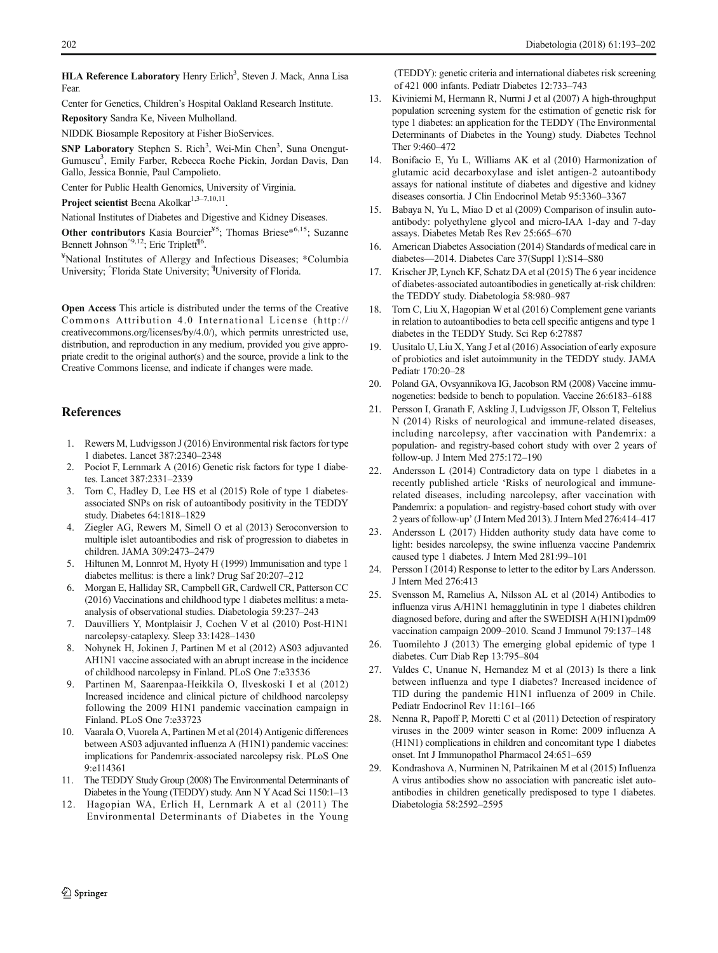<span id="page-9-0"></span>HLA Reference Laboratory Henry Erlich<sup>3</sup>, Steven J. Mack, Anna Lisa Fear.

Center for Genetics, Children's Hospital Oakland Research Institute.

Repository Sandra Ke, Niveen Mulholland.

NIDDK Biosample Repository at Fisher BioServices.

SNP Laboratory Stephen S. Rich<sup>3</sup>, Wei-Min Chen<sup>3</sup>, Suna Onengut-Gumuscu<sup>3</sup>, Emily Farber, Rebecca Roche Pickin, Jordan Davis, Dan Gallo, Jessica Bonnie, Paul Campolieto.

Center for Public Health Genomics, University of Virginia.

Project scientist Beena Akolkar<sup>1,3-7,10,11</sup>.

National Institutes of Diabetes and Digestive and Kidney Diseases.

Other contributors Kasia Bourcier<sup>¥5</sup>; Thomas Briese<sup>\*6,15</sup>; Suzanne Bennett Johnson<sup>^9,12</sup>; Eric Triplett<sup>¶6</sup>.

¥ National Institutes of Allergy and Infectious Diseases; \*Columbia University; ^Florida State University; <sup>¶</sup>University of Florida.

Open Access This article is distributed under the terms of the Creative Commons Attribution 4.0 International License (http:// creativecommons.org/licenses/by/4.0/), which permits unrestricted use, distribution, and reproduction in any medium, provided you give appropriate credit to the original author(s) and the source, provide a link to the Creative Commons license, and indicate if changes were made.

## **References**

- 1. Rewers M, Ludvigsson J (2016) Environmental risk factors for type 1 diabetes. Lancet 387:2340–2348
- 2. Pociot F, Lernmark A (2016) Genetic risk factors for type 1 diabetes. Lancet 387:2331–2339
- 3. Torn C, Hadley D, Lee HS et al (2015) Role of type 1 diabetesassociated SNPs on risk of autoantibody positivity in the TEDDY study. Diabetes 64:1818–1829
- 4. Ziegler AG, Rewers M, Simell O et al (2013) Seroconversion to multiple islet autoantibodies and risk of progression to diabetes in children. JAMA 309:2473–2479
- 5. Hiltunen M, Lonnrot M, Hyoty H (1999) Immunisation and type 1 diabetes mellitus: is there a link? Drug Saf 20:207–212
- 6. Morgan E, Halliday SR, Campbell GR, Cardwell CR, Patterson CC (2016) Vaccinations and childhood type 1 diabetes mellitus: a metaanalysis of observational studies. Diabetologia 59:237–243
- 7. Dauvilliers Y, Montplaisir J, Cochen V et al (2010) Post-H1N1 narcolepsy-cataplexy. Sleep 33:1428–1430
- 8. Nohynek H, Jokinen J, Partinen M et al (2012) AS03 adjuvanted AH1N1 vaccine associated with an abrupt increase in the incidence of childhood narcolepsy in Finland. PLoS One 7:e33536
- 9. Partinen M, Saarenpaa-Heikkila O, Ilveskoski I et al (2012) Increased incidence and clinical picture of childhood narcolepsy following the 2009 H1N1 pandemic vaccination campaign in Finland. PLoS One 7:e33723
- 10. Vaarala O, Vuorela A, Partinen M et al (2014) Antigenic differences between AS03 adjuvanted influenza A (H1N1) pandemic vaccines: implications for Pandemrix-associated narcolepsy risk. PLoS One 9:e114361
- 11. The TEDDY Study Group (2008) The Environmental Determinants of Diabetes in the Young (TEDDY) study. Ann N Y Acad Sci 1150:1-13
- 12. Hagopian WA, Erlich H, Lernmark A et al (2011) The Environmental Determinants of Diabetes in the Young

(TEDDY): genetic criteria and international diabetes risk screening of 421 000 infants. Pediatr Diabetes 12:733–743

- 13. Kiviniemi M, Hermann R, Nurmi J et al (2007) A high-throughput population screening system for the estimation of genetic risk for type 1 diabetes: an application for the TEDDY (The Environmental Determinants of Diabetes in the Young) study. Diabetes Technol Ther 9:460–472
- 14. Bonifacio E, Yu L, Williams AK et al (2010) Harmonization of glutamic acid decarboxylase and islet antigen-2 autoantibody assays for national institute of diabetes and digestive and kidney diseases consortia. J Clin Endocrinol Metab 95:3360–3367
- 15. Babaya N, Yu L, Miao D et al (2009) Comparison of insulin autoantibody: polyethylene glycol and micro-IAA 1-day and 7-day assays. Diabetes Metab Res Rev 25:665–670
- 16. American Diabetes Association (2014) Standards of medical care in diabetes—2014. Diabetes Care 37(Suppl 1):S14–S80
- 17. Krischer JP, Lynch KF, Schatz DA et al (2015) The 6 year incidence of diabetes-associated autoantibodies in genetically at-risk children: the TEDDY study. Diabetologia 58:980–987
- 18. Torn C, Liu X, Hagopian W et al (2016) Complement gene variants in relation to autoantibodies to beta cell specific antigens and type 1 diabetes in the TEDDY Study. Sci Rep 6:27887
- 19. Uusitalo U, Liu X, Yang J et al (2016) Association of early exposure of probiotics and islet autoimmunity in the TEDDY study. JAMA Pediatr 170:20–28
- 20. Poland GA, Ovsyannikova IG, Jacobson RM (2008) Vaccine immunogenetics: bedside to bench to population. Vaccine 26:6183–6188
- 21. Persson I, Granath F, Askling J, Ludvigsson JF, Olsson T, Feltelius N (2014) Risks of neurological and immune-related diseases, including narcolepsy, after vaccination with Pandemrix: a population- and registry-based cohort study with over 2 years of follow-up. J Intern Med 275:172–190
- 22. Andersson L (2014) Contradictory data on type 1 diabetes in a recently published article 'Risks of neurological and immunerelated diseases, including narcolepsy, after vaccination with Pandemrix: a population- and registry-based cohort study with over 2 years of follow-up' (J Intern Med 2013). J Intern Med 276:414–417
- 23. Andersson L (2017) Hidden authority study data have come to light: besides narcolepsy, the swine influenza vaccine Pandemrix caused type 1 diabetes. J Intern Med 281:99–101
- 24. Persson I (2014) Response to letter to the editor by Lars Andersson. J Intern Med 276:413
- 25. Svensson M, Ramelius A, Nilsson AL et al (2014) Antibodies to influenza virus A/H1N1 hemagglutinin in type 1 diabetes children diagnosed before, during and after the SWEDISH A(H1N1)pdm09 vaccination campaign 2009–2010. Scand J Immunol 79:137–148
- 26. Tuomilehto J (2013) The emerging global epidemic of type 1 diabetes. Curr Diab Rep 13:795–804
- 27. Valdes C, Unanue N, Hernandez M et al (2013) Is there a link between influenza and type I diabetes? Increased incidence of TID during the pandemic H1N1 influenza of 2009 in Chile. Pediatr Endocrinol Rev 11:161–166
- 28. Nenna R, Papoff P, Moretti C et al (2011) Detection of respiratory viruses in the 2009 winter season in Rome: 2009 influenza A (H1N1) complications in children and concomitant type 1 diabetes onset. Int J Immunopathol Pharmacol 24:651–659
- 29. Kondrashova A, Nurminen N, Patrikainen M et al (2015) Influenza A virus antibodies show no association with pancreatic islet autoantibodies in children genetically predisposed to type 1 diabetes. Diabetologia 58:2592–2595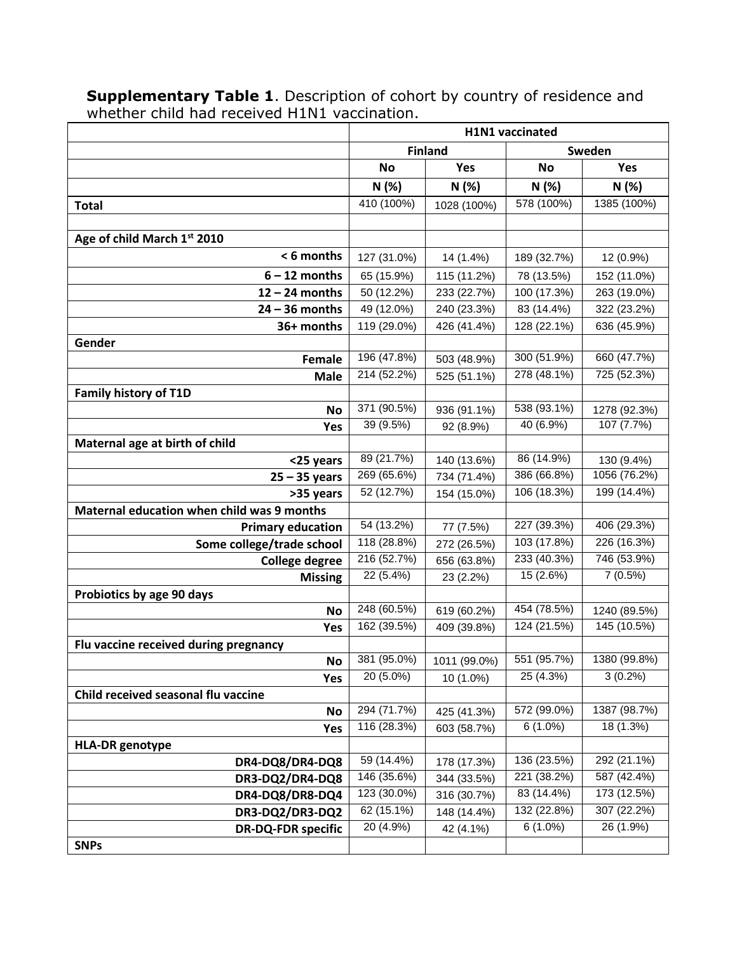|                                            | H1N1 vaccinated |                |             |                             |  |
|--------------------------------------------|-----------------|----------------|-------------|-----------------------------|--|
|                                            |                 | <b>Finland</b> | Sweden      |                             |  |
|                                            | <b>No</b>       | Yes            | <b>No</b>   | Yes                         |  |
|                                            | N (%)           | N(%)           | N(%)        | N(%)                        |  |
| <b>Total</b>                               | 410 (100%)      | 1028 (100%)    | 578 (100%)  | 1385 (100%)                 |  |
|                                            |                 |                |             |                             |  |
| Age of child March 1st 2010                |                 |                |             |                             |  |
| < 6 months                                 | 127 (31.0%)     | 14 (1.4%)      | 189 (32.7%) | 12 (0.9%)                   |  |
| $6 - 12$ months                            | 65 (15.9%)      | 115 (11.2%)    | 78 (13.5%)  | 152 (11.0%)                 |  |
| $12 - 24$ months                           | 50 (12.2%)      | 233 (22.7%)    | 100 (17.3%) | 263 (19.0%)                 |  |
| $24 - 36$ months                           | 49 (12.0%)      | 240 (23.3%)    | 83 (14.4%)  | 322 (23.2%)                 |  |
| 36+ months                                 | 119 (29.0%)     | 426 (41.4%)    | 128 (22.1%) | 636 (45.9%)                 |  |
| Gender                                     |                 |                |             |                             |  |
| Female                                     | 196 (47.8%)     | 503 (48.9%)    | 300 (51.9%) | 660 (47.7%)                 |  |
| <b>Male</b>                                | 214 (52.2%)     | 525 (51.1%)    | 278 (48.1%) | 725 (52.3%)                 |  |
| <b>Family history of T1D</b>               |                 |                |             |                             |  |
| <b>No</b>                                  | 371 (90.5%)     | 936 (91.1%)    | 538 (93.1%) | 1278 (92.3%)                |  |
| Yes                                        | 39 (9.5%)       | 92 (8.9%)      | 40(6.9%)    | 107 (7.7%)                  |  |
| Maternal age at birth of child             |                 |                |             |                             |  |
| <25 years                                  | 89 (21.7%)      | 140 (13.6%)    | 86 (14.9%)  | 130 (9.4%)                  |  |
| $25 - 35$ years                            | 269 (65.6%)     | 734 (71.4%)    | 386 (66.8%) | 1056 (76.2%)                |  |
| >35 years                                  | 52 (12.7%)      | 154 (15.0%)    | 106 (18.3%) | 199 (14.4%)                 |  |
| Maternal education when child was 9 months |                 |                |             |                             |  |
| <b>Primary education</b>                   | 54 (13.2%)      | 77 (7.5%)      | 227 (39.3%) | 406 (29.3%)                 |  |
| Some college/trade school                  | 118 (28.8%)     | 272 (26.5%)    | 103 (17.8%) | 226 (16.3%)                 |  |
| <b>College degree</b>                      | 216 (52.7%)     | 656 (63.8%)    | 233 (40.3%) | 746 (53.9%)                 |  |
| <b>Missing</b>                             | 22 (5.4%)       | 23 (2.2%)      | 15 (2.6%)   | 7(0.5%)                     |  |
| Probiotics by age 90 days                  | 248 (60.5%)     |                | 454 (78.5%) |                             |  |
| <b>No</b>                                  | 162 (39.5%)     | 619 (60.2%)    | 124 (21.5%) | 1240 (89.5%)<br>145 (10.5%) |  |
| Yes                                        |                 | 409 (39.8%)    |             |                             |  |
| Flu vaccine received during pregnancy      | 381 (95.0%)     | 1011 (99.0%)   | 551 (95.7%) | 1380 (99.8%)                |  |
| No<br>Yes                                  | 20 (5.0%)       | 10 (1.0%)      | 25 (4.3%)   | $3(0.2\%)$                  |  |
| Child received seasonal flu vaccine        |                 |                |             |                             |  |
| <b>No</b>                                  | 294 (71.7%)     | 425 (41.3%)    | 572 (99.0%) | 1387 (98.7%)                |  |
| Yes                                        | 116 (28.3%)     | 603 (58.7%)    | $6(1.0\%)$  | 18 (1.3%)                   |  |
| <b>HLA-DR</b> genotype                     |                 |                |             |                             |  |
| DR4-DQ8/DR4-DQ8                            | 59 (14.4%)      | 178 (17.3%)    | 136 (23.5%) | 292 (21.1%)                 |  |
| DR3-DQ2/DR4-DQ8                            | 146 (35.6%)     | 344 (33.5%)    | 221 (38.2%) | 587 (42.4%)                 |  |
| DR4-DQ8/DR8-DQ4                            | 123 (30.0%)     | 316 (30.7%)    | 83 (14.4%)  | 173 (12.5%)                 |  |
| DR3-DQ2/DR3-DQ2                            | 62 (15.1%)      | 148 (14.4%)    | 132 (22.8%) | 307 (22.2%)                 |  |
| <b>DR-DQ-FDR specific</b>                  | 20 (4.9%)       | 42 (4.1%)      | $6(1.0\%)$  | 26 (1.9%)                   |  |
| <b>SNPs</b>                                |                 |                |             |                             |  |

**Supplementary Table 1**. Description of cohort by country of residence and whether child had received H1N1 vaccination.